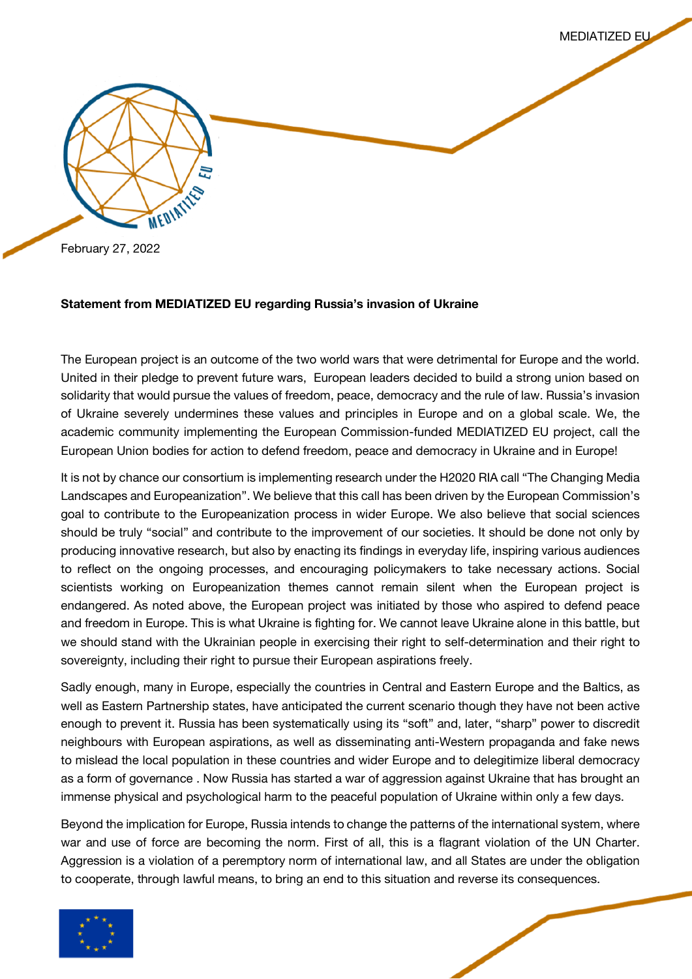

MEDIATIZED EU

February 27, 2022

## **Statement from MEDIATIZED EU regarding Russia's invasion of Ukraine**

The European project is an outcome of the two world wars that were detrimental for Europe and the world. United in their pledge to prevent future wars, European leaders decided to build a strong union based on solidarity that would pursue the values of freedom, peace, democracy and the rule of law. Russia's invasion of Ukraine severely undermines these values and principles in Europe and on a global scale. We, the academic community implementing the European Commission-funded MEDIATIZED EU project, call the European Union bodies for action to defend freedom, peace and democracy in Ukraine and in Europe!

It is not by chance our consortium is implementing research under the H2020 RIA call "The Changing Media Landscapes and Europeanization". We believe that this call has been driven by the European Commission's goal to contribute to the Europeanization process in wider Europe. We also believe that social sciences should be truly "social" and contribute to the improvement of our societies. It should be done not only by producing innovative research, but also by enacting its findings in everyday life, inspiring various audiences to reflect on the ongoing processes, and encouraging policymakers to take necessary actions. Social scientists working on Europeanization themes cannot remain silent when the European project is endangered. As noted above, the European project was initiated by those who aspired to defend peace and freedom in Europe. This is what Ukraine is fighting for. We cannot leave Ukraine alone in this battle, but we should stand with the Ukrainian people in exercising their right to self-determination and their right to sovereignty, including their right to pursue their European aspirations freely.

Sadly enough, many in Europe, especially the countries in Central and Eastern Europe and the Baltics, as well as Eastern Partnership states, have anticipated the current scenario though they have not been active enough to prevent it. Russia has been systematically using its "soft" and, later, "sharp" power to discredit neighbours with European aspirations, as well as disseminating anti-Western propaganda and fake news to mislead the local population in these countries and wider Europe and to delegitimize liberal democracy as a form of governance . Now Russia has started a war of aggression against Ukraine that has brought an immense physical and psychological harm to the peaceful population of Ukraine within only a few days.

Beyond the implication for Europe, Russia intends to change the patterns of the international system, where war and use of force are becoming the norm. First of all, this is a flagrant violation of the UN Charter. Aggression is a violation of a peremptory norm of international law, and all States are under the obligation to cooperate, through lawful means, to bring an end to this situation and reverse its consequences.

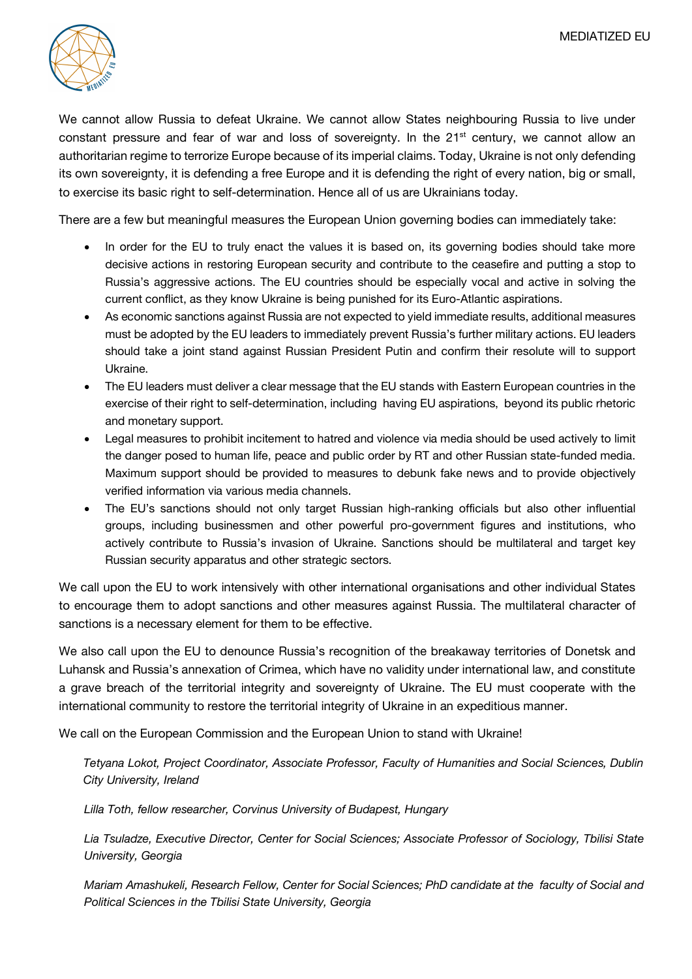

We cannot allow Russia to defeat Ukraine. We cannot allow States neighbouring Russia to live under constant pressure and fear of war and loss of sovereignty. In the  $21<sup>st</sup>$  century, we cannot allow an authoritarian regime to terrorize Europe because of its imperial claims. Today, Ukraine is not only defending its own sovereignty, it is defending a free Europe and it is defending the right of every nation, big or small, to exercise its basic right to self-determination. Hence all of us are Ukrainians today.

There are a few but meaningful measures the European Union governing bodies can immediately take:

- In order for the EU to truly enact the values it is based on, its governing bodies should take more decisive actions in restoring European security and contribute to the ceasefire and putting a stop to Russia's aggressive actions. The EU countries should be especially vocal and active in solving the current conflict, as they know Ukraine is being punished for its Euro-Atlantic aspirations.
- As economic sanctions against Russia are not expected to yield immediate results, additional measures must be adopted by the EU leaders to immediately prevent Russia's further military actions. EU leaders should take a joint stand against Russian President Putin and confirm their resolute will to support Ukraine.
- The EU leaders must deliver a clear message that the EU stands with Eastern European countries in the exercise of their right to self-determination, including having EU aspirations, beyond its public rhetoric and monetary support.
- Legal measures to prohibit incitement to hatred and violence via media should be used actively to limit the danger posed to human life, peace and public order by RT and other Russian state-funded media. Maximum support should be provided to measures to debunk fake news and to provide objectively verified information via various media channels.
- The EU's sanctions should not only target Russian high-ranking officials but also other influential groups, including businessmen and other powerful pro-government figures and institutions, who actively contribute to Russia's invasion of Ukraine. Sanctions should be multilateral and target key Russian security apparatus and other strategic sectors.

We call upon the EU to work intensively with other international organisations and other individual States to encourage them to adopt sanctions and other measures against Russia. The multilateral character of sanctions is a necessary element for them to be effective.

We also call upon the EU to denounce Russia's recognition of the breakaway territories of Donetsk and Luhansk and Russia's annexation of Crimea, which have no validity under international law, and constitute a grave breach of the territorial integrity and sovereignty of Ukraine. The EU must cooperate with the international community to restore the territorial integrity of Ukraine in an expeditious manner.

We call on the European Commission and the European Union to stand with Ukraine!

*Tetyana Lokot, Project Coordinator, Associate Professor, Faculty of Humanities and Social Sciences, Dublin City University, Ireland*

*Lilla Toth, fellow researcher, Corvinus University of Budapest, Hungary*

*Lia Tsuladze, Executive Director, Center for Social Sciences; Associate Professor of Sociology, Tbilisi State University, Georgia*

*Mariam Amashukeli, Research Fellow, Center for Social Sciences; PhD candidate at the faculty of Social and Political Sciences in the Tbilisi State University, Georgia*